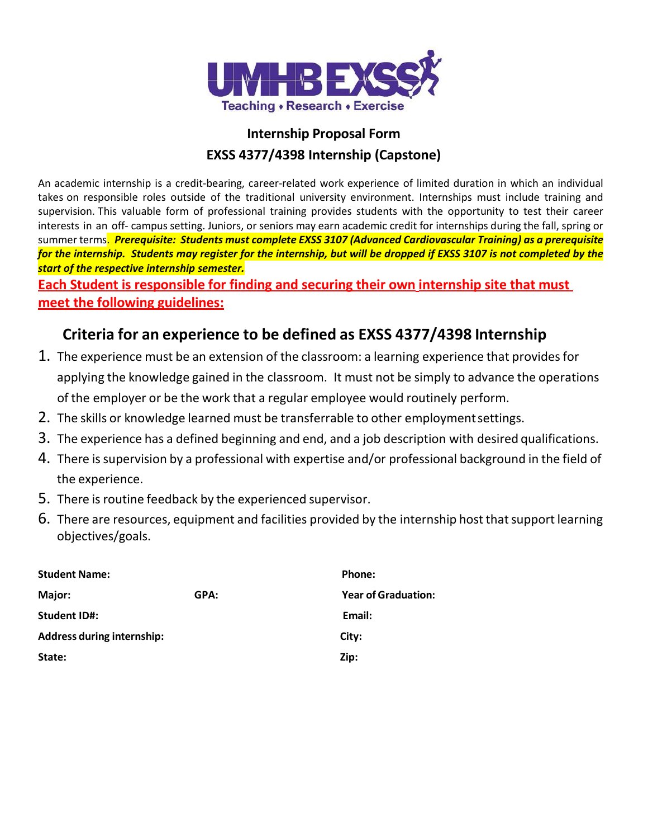

## **Internship Proposal Form EXSS 4377/4398 Internship (Capstone)**

An academic internship is a credit-bearing, career-related work experience of limited duration in which an individual takes on responsible roles outside of the traditional university environment. Internships must include training and supervision. This valuable form of professional training provides students with the opportunity to test their career interests in an off- campus setting. Juniors, or seniors may earn academic credit for internships during the fall, spring or summer terms. *Prerequisite: Students must complete EXSS 3107 (Advanced Cardiovascular Training) as a prerequisite for the internship. Students may register for the internship, but will be dropped if EXSS 3107 is not completed by the start of the respective internship semester.*

**Each Student is responsible for finding and securing their own internship site that must meet the following guidelines:**

# **Criteria for an experience to be defined as EXSS 4377/4398 Internship**

- 1. The experience must be an extension of the classroom: a learning experience that provides for applying the knowledge gained in the classroom. It must not be simply to advance the operations of the employer or be the work that a regular employee would routinely perform.
- 2. The skills or knowledge learned must be transferrable to other employmentsettings.
- 3. The experience has a defined beginning and end, and a job description with desired qualifications.
- 4. There is supervision by a professional with expertise and/or professional background in the field of the experience.
- 5. There is routine feedback by the experienced supervisor.
- 6. There are resources, equipment and facilities provided by the internship host thatsupport learning objectives/goals.

| <b>Student Name:</b>              |      | Phone:                     |
|-----------------------------------|------|----------------------------|
| Major:                            | GPA: | <b>Year of Graduation:</b> |
| <b>Student ID#:</b>               |      | Email:                     |
| <b>Address during internship:</b> |      | City:                      |
| State:                            |      | Zip:                       |